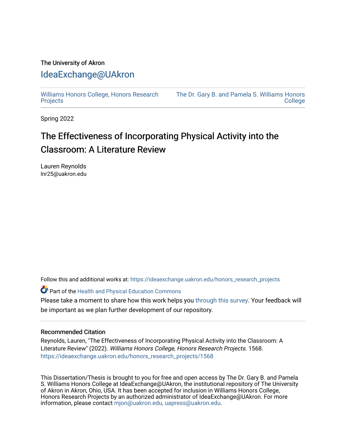# The University of Akron [IdeaExchange@UAkron](https://ideaexchange.uakron.edu/)

[Williams Honors College, Honors Research](https://ideaexchange.uakron.edu/honors_research_projects)  **[Projects](https://ideaexchange.uakron.edu/honors_research_projects)** 

[The Dr. Gary B. and Pamela S. Williams Honors](https://ideaexchange.uakron.edu/honorscollege_ideas)  **College** 

Spring 2022

# The Effectiveness of Incorporating Physical Activity into the Classroom: A Literature Review

Lauren Reynolds lnr25@uakron.edu

Follow this and additional works at: [https://ideaexchange.uakron.edu/honors\\_research\\_projects](https://ideaexchange.uakron.edu/honors_research_projects?utm_source=ideaexchange.uakron.edu%2Fhonors_research_projects%2F1568&utm_medium=PDF&utm_campaign=PDFCoverPages) 

**Part of the [Health and Physical Education Commons](http://network.bepress.com/hgg/discipline/1327?utm_source=ideaexchange.uakron.edu%2Fhonors_research_projects%2F1568&utm_medium=PDF&utm_campaign=PDFCoverPages)** 

Please take a moment to share how this work helps you [through this survey](http://survey.az1.qualtrics.com/SE/?SID=SV_eEVH54oiCbOw05f&URL=https://ideaexchange.uakron.edu/honors_research_projects/1568). Your feedback will be important as we plan further development of our repository.

# Recommended Citation

Reynolds, Lauren, "The Effectiveness of Incorporating Physical Activity into the Classroom: A Literature Review" (2022). Williams Honors College, Honors Research Projects. 1568. [https://ideaexchange.uakron.edu/honors\\_research\\_projects/1568](https://ideaexchange.uakron.edu/honors_research_projects/1568?utm_source=ideaexchange.uakron.edu%2Fhonors_research_projects%2F1568&utm_medium=PDF&utm_campaign=PDFCoverPages) 

This Dissertation/Thesis is brought to you for free and open access by The Dr. Gary B. and Pamela S. Williams Honors College at IdeaExchange@UAkron, the institutional repository of The University of Akron in Akron, Ohio, USA. It has been accepted for inclusion in Williams Honors College, Honors Research Projects by an authorized administrator of IdeaExchange@UAkron. For more information, please contact [mjon@uakron.edu, uapress@uakron.edu.](mailto:mjon@uakron.edu,%20uapress@uakron.edu)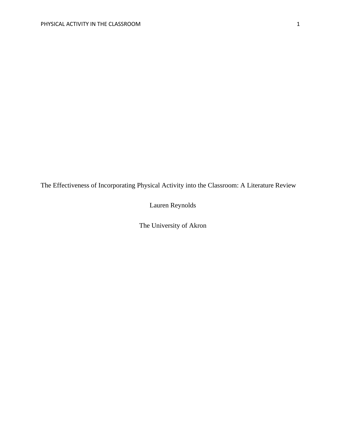The Effectiveness of Incorporating Physical Activity into the Classroom: A Literature Review

Lauren Reynolds

The University of Akron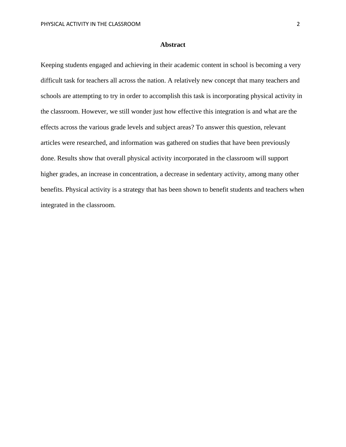# **Abstract**

Keeping students engaged and achieving in their academic content in school is becoming a very difficult task for teachers all across the nation. A relatively new concept that many teachers and schools are attempting to try in order to accomplish this task is incorporating physical activity in the classroom. However, we still wonder just how effective this integration is and what are the effects across the various grade levels and subject areas? To answer this question, relevant articles were researched, and information was gathered on studies that have been previously done. Results show that overall physical activity incorporated in the classroom will support higher grades, an increase in concentration, a decrease in sedentary activity, among many other benefits. Physical activity is a strategy that has been shown to benefit students and teachers when integrated in the classroom.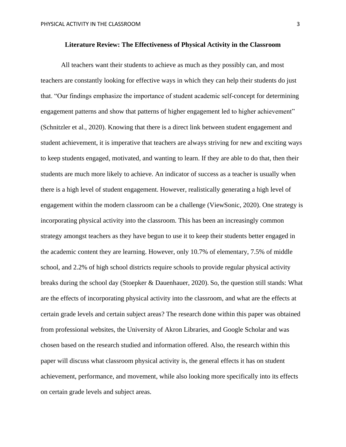All teachers want their students to achieve as much as they possibly can, and most teachers are constantly looking for effective ways in which they can help their students do just that. "Our findings emphasize the importance of student academic self-concept for determining engagement patterns and show that patterns of higher engagement led to higher achievement" (Schnitzler et al., 2020). Knowing that there is a direct link between student engagement and student achievement, it is imperative that teachers are always striving for new and exciting ways to keep students engaged, motivated, and wanting to learn. If they are able to do that, then their students are much more likely to achieve. An indicator of success as a teacher is usually when there is a high level of student engagement. However, realistically generating a high level of engagement within the modern classroom can be a challenge (ViewSonic, 2020). One strategy is incorporating physical activity into the classroom. This has been an increasingly common strategy amongst teachers as they have begun to use it to keep their students better engaged in the academic content they are learning. However, only 10.7% of elementary, 7.5% of middle school, and 2.2% of high school districts require schools to provide regular physical activity breaks during the school day (Stoepker & Dauenhauer, 2020). So, the question still stands: What are the effects of incorporating physical activity into the classroom, and what are the effects at certain grade levels and certain subject areas? The research done within this paper was obtained from professional websites, the University of Akron Libraries, and Google Scholar and was chosen based on the research studied and information offered. Also, the research within this paper will discuss what classroom physical activity is, the general effects it has on student achievement, performance, and movement, while also looking more specifically into its effects on certain grade levels and subject areas.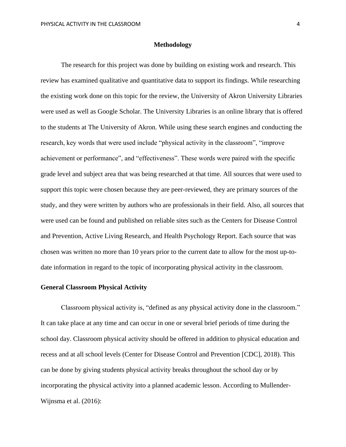## **Methodology**

The research for this project was done by building on existing work and research. This review has examined qualitative and quantitative data to support its findings. While researching the existing work done on this topic for the review, the University of Akron University Libraries were used as well as Google Scholar. The University Libraries is an online library that is offered to the students at The University of Akron. While using these search engines and conducting the research, key words that were used include "physical activity in the classroom", "improve achievement or performance", and "effectiveness". These words were paired with the specific grade level and subject area that was being researched at that time. All sources that were used to support this topic were chosen because they are peer-reviewed, they are primary sources of the study, and they were written by authors who are professionals in their field. Also, all sources that were used can be found and published on reliable sites such as the Centers for Disease Control and Prevention, Active Living Research, and Health Psychology Report. Each source that was chosen was written no more than 10 years prior to the current date to allow for the most up-todate information in regard to the topic of incorporating physical activity in the classroom.

#### **General Classroom Physical Activity**

Classroom physical activity is, "defined as any physical activity done in the classroom." It can take place at any time and can occur in one or several brief periods of time during the school day. Classroom physical activity should be offered in addition to physical education and recess and at all school levels (Center for Disease Control and Prevention [CDC], 2018). This can be done by giving students physical activity breaks throughout the school day or by incorporating the physical activity into a planned academic lesson. According to Mullender-Wijnsma et al. (2016):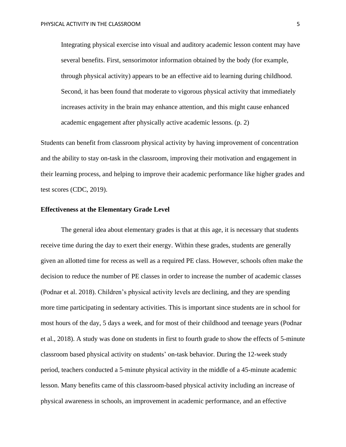Integrating physical exercise into visual and auditory academic lesson content may have several benefits. First, sensorimotor information obtained by the body (for example, through physical activity) appears to be an effective aid to learning during childhood. Second, it has been found that moderate to vigorous physical activity that immediately increases activity in the brain may enhance attention, and this might cause enhanced academic engagement after physically active academic lessons. (p. 2)

Students can benefit from classroom physical activity by having improvement of concentration and the ability to stay on-task in the classroom, improving their motivation and engagement in their learning process, and helping to improve their academic performance like higher grades and test scores (CDC, 2019).

#### **Effectiveness at the Elementary Grade Level**

The general idea about elementary grades is that at this age, it is necessary that students receive time during the day to exert their energy. Within these grades, students are generally given an allotted time for recess as well as a required PE class. However, schools often make the decision to reduce the number of PE classes in order to increase the number of academic classes (Podnar et al. 2018). Children's physical activity levels are declining, and they are spending more time participating in sedentary activities. This is important since students are in school for most hours of the day, 5 days a week, and for most of their childhood and teenage years (Podnar et al., 2018). A study was done on students in first to fourth grade to show the effects of 5-minute classroom based physical activity on students' on-task behavior. During the 12-week study period, teachers conducted a 5-minute physical activity in the middle of a 45-minute academic lesson. Many benefits came of this classroom-based physical activity including an increase of physical awareness in schools, an improvement in academic performance, and an effective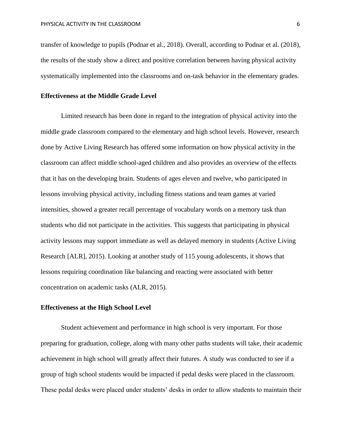transfer of knowledge to pupils (Podnar et al., 2018). Overall, according to Podnar et al. (2018), the results of the study show a direct and positive correlation between having physical activity systematically implemented into the classrooms and on-task behavior in the elementary grades.

## **Effectiveness at the Middle Grade Level**

Limited research has been done in regard to the integration of physical activity into the middle grade classroom compared to the elementary and high school levels. However, research done by Active Living Research has offered some information on how physical activity in the classroom can affect middle school-aged children and also provides an overview of the effects that it has on the developing brain. Students of ages eleven and twelve, who participated in lessons involving physical activity, including fitness stations and team games at varied intensities, showed a greater recall percentage of vocabulary words on a memory task than students who did not participate in the activities. This suggests that participating in physical activity lessons may support immediate as well as delayed memory in students (Active Living Research [ALR], 2015). Looking at another study of 115 young adolescents, it shows that lessons requiring coordination like balancing and reacting were associated with better concentration on academic tasks (ALR, 2015).

# **Effectiveness at the High School Level**

Student achievement and performance in high school is very important. For those preparing for graduation, college, along with many other paths students will take, their academic achievement in high school will greatly affect their futures. A study was conducted to see if a group of high school students would be impacted if pedal desks were placed in the classroom. These pedal desks were placed under students' desks in order to allow students to maintain their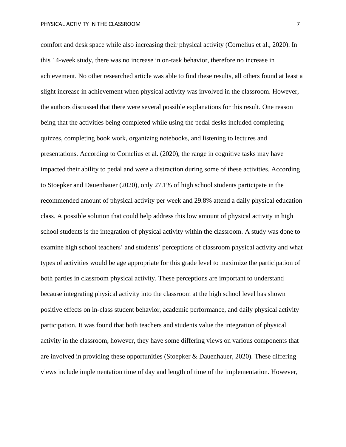comfort and desk space while also increasing their physical activity (Cornelius et al., 2020). In this 14-week study, there was no increase in on-task behavior, therefore no increase in achievement. No other researched article was able to find these results, all others found at least a slight increase in achievement when physical activity was involved in the classroom. However, the authors discussed that there were several possible explanations for this result. One reason being that the activities being completed while using the pedal desks included completing quizzes, completing book work, organizing notebooks, and listening to lectures and presentations. According to Cornelius et al. (2020), the range in cognitive tasks may have impacted their ability to pedal and were a distraction during some of these activities. According to Stoepker and Dauenhauer (2020), only 27.1% of high school students participate in the recommended amount of physical activity per week and 29.8% attend a daily physical education class. A possible solution that could help address this low amount of physical activity in high school students is the integration of physical activity within the classroom. A study was done to examine high school teachers' and students' perceptions of classroom physical activity and what types of activities would be age appropriate for this grade level to maximize the participation of both parties in classroom physical activity. These perceptions are important to understand because integrating physical activity into the classroom at the high school level has shown positive effects on in-class student behavior, academic performance, and daily physical activity participation. It was found that both teachers and students value the integration of physical activity in the classroom, however, they have some differing views on various components that are involved in providing these opportunities (Stoepker & Dauenhauer, 2020). These differing views include implementation time of day and length of time of the implementation. However,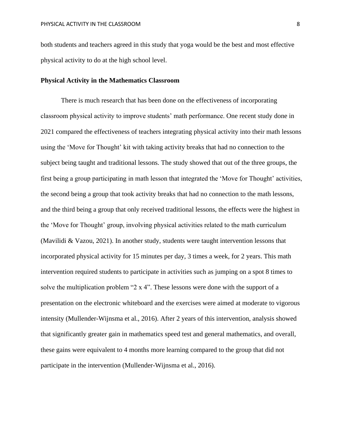both students and teachers agreed in this study that yoga would be the best and most effective physical activity to do at the high school level.

## **Physical Activity in the Mathematics Classroom**

There is much research that has been done on the effectiveness of incorporating classroom physical activity to improve students' math performance. One recent study done in 2021 compared the effectiveness of teachers integrating physical activity into their math lessons using the 'Move for Thought' kit with taking activity breaks that had no connection to the subject being taught and traditional lessons. The study showed that out of the three groups, the first being a group participating in math lesson that integrated the 'Move for Thought' activities, the second being a group that took activity breaks that had no connection to the math lessons, and the third being a group that only received traditional lessons, the effects were the highest in the 'Move for Thought' group, involving physical activities related to the math curriculum (Mavilidi & Vazou, 2021). In another study, students were taught intervention lessons that incorporated physical activity for 15 minutes per day, 3 times a week, for 2 years. This math intervention required students to participate in activities such as jumping on a spot 8 times to solve the multiplication problem "2 x 4". These lessons were done with the support of a presentation on the electronic whiteboard and the exercises were aimed at moderate to vigorous intensity (Mullender-Wijnsma et al., 2016). After 2 years of this intervention, analysis showed that significantly greater gain in mathematics speed test and general mathematics, and overall, these gains were equivalent to 4 months more learning compared to the group that did not participate in the intervention (Mullender-Wijnsma et al., 2016).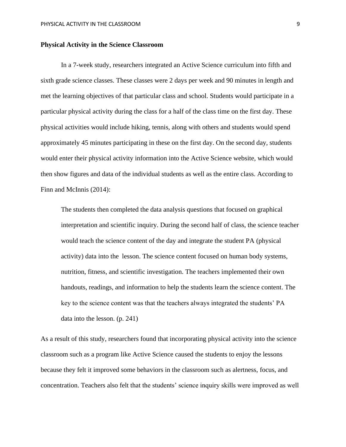#### **Physical Activity in the Science Classroom**

In a 7-week study, researchers integrated an Active Science curriculum into fifth and sixth grade science classes. These classes were 2 days per week and 90 minutes in length and met the learning objectives of that particular class and school. Students would participate in a particular physical activity during the class for a half of the class time on the first day. These physical activities would include hiking, tennis, along with others and students would spend approximately 45 minutes participating in these on the first day. On the second day, students would enter their physical activity information into the Active Science website, which would then show figures and data of the individual students as well as the entire class. According to Finn and McInnis (2014):

The students then completed the data analysis questions that focused on graphical interpretation and scientific inquiry. During the second half of class, the science teacher would teach the science content of the day and integrate the student PA (physical activity) data into the lesson. The science content focused on human body systems, nutrition, fitness, and scientific investigation. The teachers implemented their own handouts, readings, and information to help the students learn the science content. The key to the science content was that the teachers always integrated the students' PA data into the lesson. (p. 241)

As a result of this study, researchers found that incorporating physical activity into the science classroom such as a program like Active Science caused the students to enjoy the lessons because they felt it improved some behaviors in the classroom such as alertness, focus, and concentration. Teachers also felt that the students' science inquiry skills were improved as well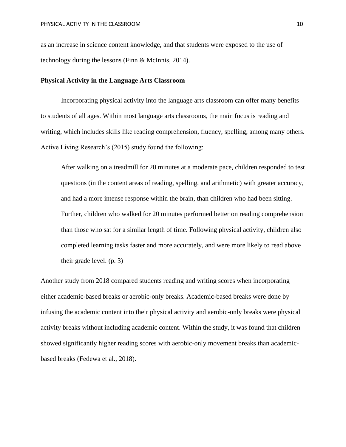as an increase in science content knowledge, and that students were exposed to the use of technology during the lessons (Finn & McInnis, 2014).

## **Physical Activity in the Language Arts Classroom**

Incorporating physical activity into the language arts classroom can offer many benefits to students of all ages. Within most language arts classrooms, the main focus is reading and writing, which includes skills like reading comprehension, fluency, spelling, among many others. Active Living Research's (2015) study found the following:

After walking on a treadmill for 20 minutes at a moderate pace, children responded to test questions (in the content areas of reading, spelling, and arithmetic) with greater accuracy, and had a more intense response within the brain, than children who had been sitting. Further, children who walked for 20 minutes performed better on reading comprehension than those who sat for a similar length of time. Following physical activity, children also completed learning tasks faster and more accurately, and were more likely to read above their grade level. (p. 3)

Another study from 2018 compared students reading and writing scores when incorporating either academic-based breaks or aerobic-only breaks. Academic-based breaks were done by infusing the academic content into their physical activity and aerobic-only breaks were physical activity breaks without including academic content. Within the study, it was found that children showed significantly higher reading scores with aerobic-only movement breaks than academicbased breaks (Fedewa et al., 2018).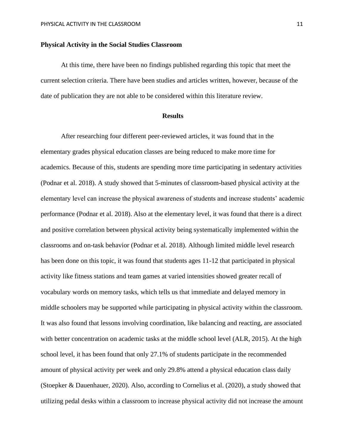#### **Physical Activity in the Social Studies Classroom**

At this time, there have been no findings published regarding this topic that meet the current selection criteria. There have been studies and articles written, however, because of the date of publication they are not able to be considered within this literature review.

## **Results**

After researching four different peer-reviewed articles, it was found that in the elementary grades physical education classes are being reduced to make more time for academics. Because of this, students are spending more time participating in sedentary activities (Podnar et al. 2018). A study showed that 5-minutes of classroom-based physical activity at the elementary level can increase the physical awareness of students and increase students' academic performance (Podnar et al. 2018). Also at the elementary level, it was found that there is a direct and positive correlation between physical activity being systematically implemented within the classrooms and on-task behavior (Podnar et al. 2018). Although limited middle level research has been done on this topic, it was found that students ages 11-12 that participated in physical activity like fitness stations and team games at varied intensities showed greater recall of vocabulary words on memory tasks, which tells us that immediate and delayed memory in middle schoolers may be supported while participating in physical activity within the classroom. It was also found that lessons involving coordination, like balancing and reacting, are associated with better concentration on academic tasks at the middle school level (ALR, 2015). At the high school level, it has been found that only 27.1% of students participate in the recommended amount of physical activity per week and only 29.8% attend a physical education class daily (Stoepker & Dauenhauer, 2020). Also, according to Cornelius et al. (2020), a study showed that utilizing pedal desks within a classroom to increase physical activity did not increase the amount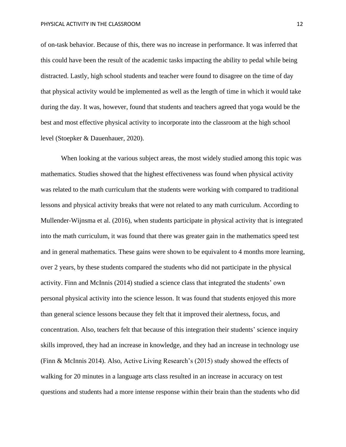of on-task behavior. Because of this, there was no increase in performance. It was inferred that this could have been the result of the academic tasks impacting the ability to pedal while being distracted. Lastly, high school students and teacher were found to disagree on the time of day that physical activity would be implemented as well as the length of time in which it would take during the day. It was, however, found that students and teachers agreed that yoga would be the best and most effective physical activity to incorporate into the classroom at the high school level (Stoepker & Dauenhauer, 2020).

When looking at the various subject areas, the most widely studied among this topic was mathematics. Studies showed that the highest effectiveness was found when physical activity was related to the math curriculum that the students were working with compared to traditional lessons and physical activity breaks that were not related to any math curriculum. According to Mullender-Wijnsma et al. (2016), when students participate in physical activity that is integrated into the math curriculum, it was found that there was greater gain in the mathematics speed test and in general mathematics. These gains were shown to be equivalent to 4 months more learning, over 2 years, by these students compared the students who did not participate in the physical activity. Finn and McInnis (2014) studied a science class that integrated the students' own personal physical activity into the science lesson. It was found that students enjoyed this more than general science lessons because they felt that it improved their alertness, focus, and concentration. Also, teachers felt that because of this integration their students' science inquiry skills improved, they had an increase in knowledge, and they had an increase in technology use (Finn & McInnis 2014). Also, Active Living Research's (2015) study showed the effects of walking for 20 minutes in a language arts class resulted in an increase in accuracy on test questions and students had a more intense response within their brain than the students who did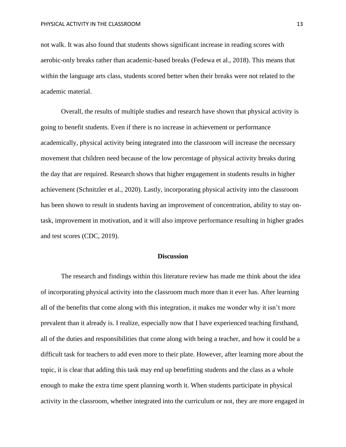not walk. It was also found that students shows significant increase in reading scores with aerobic-only breaks rather than academic-based breaks (Fedewa et al., 2018). This means that within the language arts class, students scored better when their breaks were not related to the academic material.

Overall, the results of multiple studies and research have shown that physical activity is going to benefit students. Even if there is no increase in achievement or performance academically, physical activity being integrated into the classroom will increase the necessary movement that children need because of the low percentage of physical activity breaks during the day that are required. Research shows that higher engagement in students results in higher achievement (Schnitzler et al., 2020). Lastly, incorporating physical activity into the classroom has been shown to result in students having an improvement of concentration, ability to stay ontask, improvement in motivation, and it will also improve performance resulting in higher grades and test scores (CDC, 2019).

#### **Discussion**

The research and findings within this literature review has made me think about the idea of incorporating physical activity into the classroom much more than it ever has. After learning all of the benefits that come along with this integration, it makes me wonder why it isn't more prevalent than it already is. I realize, especially now that I have experienced teaching firsthand, all of the duties and responsibilities that come along with being a teacher, and how it could be a difficult task for teachers to add even more to their plate. However, after learning more about the topic, it is clear that adding this task may end up benefitting students and the class as a whole enough to make the extra time spent planning worth it. When students participate in physical activity in the classroom, whether integrated into the curriculum or not, they are more engaged in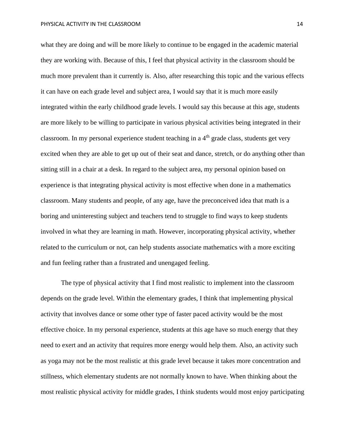what they are doing and will be more likely to continue to be engaged in the academic material they are working with. Because of this, I feel that physical activity in the classroom should be much more prevalent than it currently is. Also, after researching this topic and the various effects it can have on each grade level and subject area, I would say that it is much more easily integrated within the early childhood grade levels. I would say this because at this age, students are more likely to be willing to participate in various physical activities being integrated in their classroom. In my personal experience student teaching in a  $4<sup>th</sup>$  grade class, students get very excited when they are able to get up out of their seat and dance, stretch, or do anything other than sitting still in a chair at a desk. In regard to the subject area, my personal opinion based on experience is that integrating physical activity is most effective when done in a mathematics classroom. Many students and people, of any age, have the preconceived idea that math is a boring and uninteresting subject and teachers tend to struggle to find ways to keep students involved in what they are learning in math. However, incorporating physical activity, whether related to the curriculum or not, can help students associate mathematics with a more exciting and fun feeling rather than a frustrated and unengaged feeling.

The type of physical activity that I find most realistic to implement into the classroom depends on the grade level. Within the elementary grades, I think that implementing physical activity that involves dance or some other type of faster paced activity would be the most effective choice. In my personal experience, students at this age have so much energy that they need to exert and an activity that requires more energy would help them. Also, an activity such as yoga may not be the most realistic at this grade level because it takes more concentration and stillness, which elementary students are not normally known to have. When thinking about the most realistic physical activity for middle grades, I think students would most enjoy participating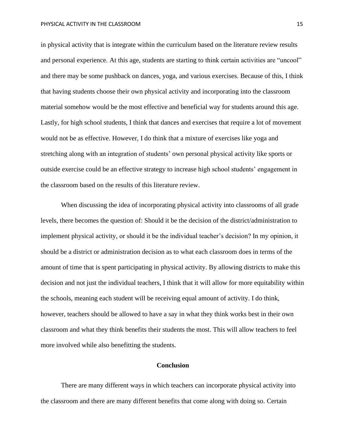in physical activity that is integrate within the curriculum based on the literature review results and personal experience. At this age, students are starting to think certain activities are "uncool" and there may be some pushback on dances, yoga, and various exercises. Because of this, I think that having students choose their own physical activity and incorporating into the classroom material somehow would be the most effective and beneficial way for students around this age. Lastly, for high school students, I think that dances and exercises that require a lot of movement would not be as effective. However, I do think that a mixture of exercises like yoga and stretching along with an integration of students' own personal physical activity like sports or outside exercise could be an effective strategy to increase high school students' engagement in the classroom based on the results of this literature review.

When discussing the idea of incorporating physical activity into classrooms of all grade levels, there becomes the question of: Should it be the decision of the district/administration to implement physical activity, or should it be the individual teacher's decision? In my opinion, it should be a district or administration decision as to what each classroom does in terms of the amount of time that is spent participating in physical activity. By allowing districts to make this decision and not just the individual teachers, I think that it will allow for more equitability within the schools, meaning each student will be receiving equal amount of activity. I do think, however, teachers should be allowed to have a say in what they think works best in their own classroom and what they think benefits their students the most. This will allow teachers to feel more involved while also benefitting the students.

#### **Conclusion**

There are many different ways in which teachers can incorporate physical activity into the classroom and there are many different benefits that come along with doing so. Certain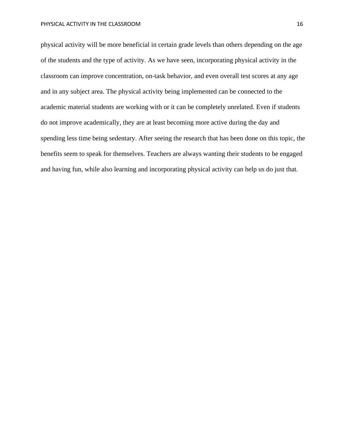physical activity will be more beneficial in certain grade levels than others depending on the age of the students and the type of activity. As we have seen, incorporating physical activity in the classroom can improve concentration, on-task behavior, and even overall test scores at any age and in any subject area. The physical activity being implemented can be connected to the academic material students are working with or it can be completely unrelated. Even if students do not improve academically, they are at least becoming more active during the day and spending less time being sedentary. After seeing the research that has been done on this topic, the benefits seem to speak for themselves. Teachers are always wanting their students to be engaged and having fun, while also learning and incorporating physical activity can help us do just that.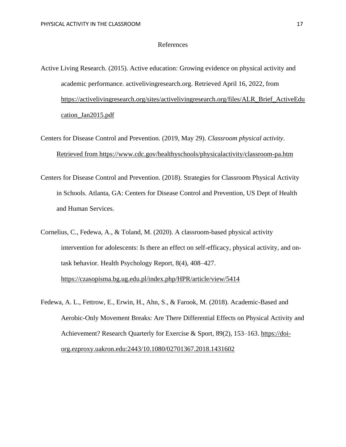#### References

- Active Living Research. (2015). Active education: Growing evidence on physical activity and academic performance. activelivingresearch.org. Retrieved April 16, 2022, from [https://activelivingresearch.org/sites/activelivingresearch.org/files/ALR\\_Brief\\_ActiveEdu](https://activelivingresearch.org/sites/activelivingresearch.org/files/ALR_Brief_ActiveEdu) [cation\\_Jan2015.pdf](https://activelivingresearch.org/sites/activelivingresearch.org/files/ALR_Brief_ActiveEdu)
- Centers for Disease Control and Prevention. (2019, May 29). *Classroom physical activity*. [Retrieved from https://www.cdc.gov/healthyschools/physicalactivity/classroom-pa.htm](file:///C:/Users/laure/Desktop/Retrieved%20from%20https:/www.cdc.gov/healthyschools/physicalactivity/classroom-pa.htm)
- Centers for Disease Control and Prevention. (2018). Strategies for Classroom Physical Activity in Schools. Atlanta, GA: Centers for Disease Control and Prevention, US Dept of Health and Human Services.
- Cornelius, C., Fedewa, A., & Toland, M. (2020). A classroom-based physical activity intervention for adolescents: Is there an effect on self-efficacy, physical activity, and ontask behavior. Health Psychology Report, 8(4), 408–427. <https://czasopisma.bg.ug.edu.pl/index.php/HPR/article/view/5414>
- Fedewa, A. L., Fettrow, E., Erwin, H., Ahn, S., & Farook, M. (2018). Academic-Based and Aerobic-Only Movement Breaks: Are There Differential Effects on Physical Activity and Achievement? Research Quarterly for Exercise & Sport, 89(2), 153–163. https://doiorg.ezproxy.uakron.edu:2443/10.1080/02701367.2018.1431602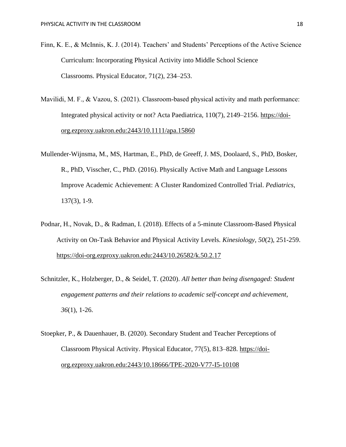- Finn, K. E., & McInnis, K. J. (2014). Teachers' and Students' Perceptions of the Active Science Curriculum: Incorporating Physical Activity into Middle School Science Classrooms. Physical Educator, 71(2), 234–253.
- Mavilidi, M. F., & Vazou, S. (2021). Classroom-based physical activity and math performance: Integrated physical activity or not? Acta Paediatrica, 110(7), 2149–2156. https://doiorg.ezproxy.uakron.edu:2443/10.1111/apa.15860
- Mullender-Wijnsma, M., MS, Hartman, E., PhD, de Greeff, J. MS, Doolaard, S., PhD, Bosker, R., PhD, Visscher, C., PhD. (2016). Physically Active Math and Language Lessons Improve Academic Achievement: A Cluster Randomized Controlled Trial. *Pediatrics,*  137(3), 1-9.
- Podnar, H., Novak, D., & Radman, I. (2018). Effects of a 5-minute Classroom-Based Physical Activity on On-Task Behavior and Physical Activity Levels. *Kinesiology, 50*(2), 251-259. <https://doi-org.ezproxy.uakron.edu:2443/10.26582/k.50.2.17>
- Schnitzler, K., Holzberger, D., & Seidel, T. (2020). *All better than being disengaged: Student engagement patterns and their relations to academic self-concept and achievement*, *36*(1), 1-26.
- Stoepker, P., & Dauenhauer, B. (2020). Secondary Student and Teacher Perceptions of Classroom Physical Activity. Physical Educator, 77(5), 813–828. https://doiorg.ezproxy.uakron.edu:2443/10.18666/TPE-2020-V77-I5-10108